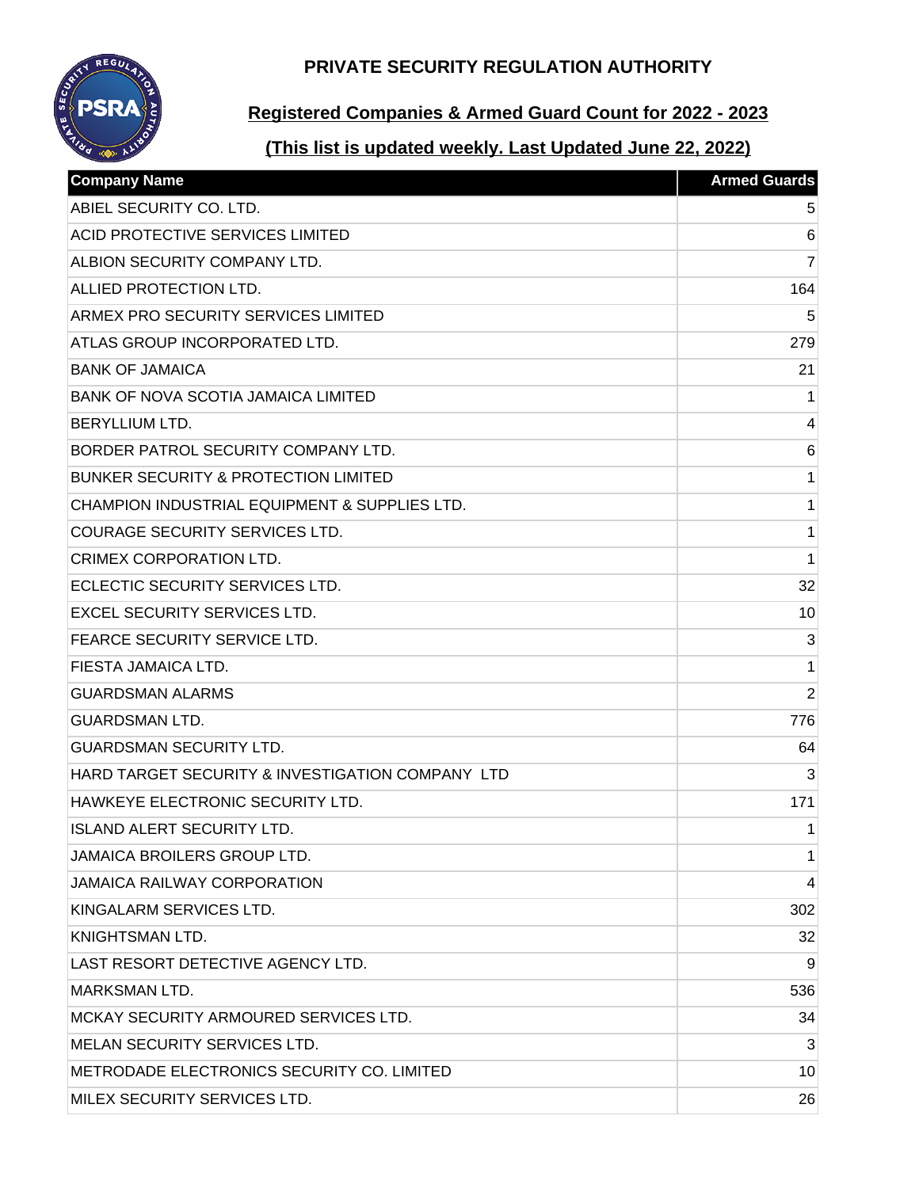**PRIVATE SECURITY REGULATION AUTHORITY**



## **Registered Companies & Armed Guard Count for 2022 - 2023**

# **(This list is updated weekly. Last Updated June 22, 2022)**

| <b>Company Name</b>                              | <b>Armed Guards</b> |
|--------------------------------------------------|---------------------|
| ABIEL SECURITY CO. LTD.                          | 5                   |
| <b>ACID PROTECTIVE SERVICES LIMITED</b>          | $6\phantom{1}6$     |
| ALBION SECURITY COMPANY LTD.                     | $\overline{7}$      |
| ALLIED PROTECTION LTD.                           | 164                 |
| ARMEX PRO SECURITY SERVICES LIMITED              | 5                   |
| ATLAS GROUP INCORPORATED LTD.                    | 279                 |
| <b>BANK OF JAMAICA</b>                           | 21                  |
| BANK OF NOVA SCOTIA JAMAICA LIMITED              | 1                   |
| <b>BERYLLIUM LTD.</b>                            | 4                   |
| BORDER PATROL SECURITY COMPANY LTD.              | $6\phantom{1}6$     |
| <b>BUNKER SECURITY &amp; PROTECTION LIMITED</b>  | 1                   |
| CHAMPION INDUSTRIAL EQUIPMENT & SUPPLIES LTD.    | 1                   |
| <b>COURAGE SECURITY SERVICES LTD.</b>            | 1                   |
| <b>CRIMEX CORPORATION LTD.</b>                   | 1                   |
| ECLECTIC SECURITY SERVICES LTD.                  | 32                  |
| <b>EXCEL SECURITY SERVICES LTD.</b>              | 10                  |
| FEARCE SECURITY SERVICE LTD.                     | 3                   |
| FIESTA JAMAICA LTD.                              | 1                   |
| <b>GUARDSMAN ALARMS</b>                          | $\overline{2}$      |
| <b>GUARDSMAN LTD.</b>                            | 776                 |
| <b>GUARDSMAN SECURITY LTD.</b>                   | 64                  |
| HARD TARGET SECURITY & INVESTIGATION COMPANY LTD | 3                   |
| HAWKEYE ELECTRONIC SECURITY LTD.                 | 171                 |
| <b>ISLAND ALERT SECURITY LTD.</b>                | 1                   |
| JAMAICA BROILERS GROUP LTD.                      | 1                   |
| <b>JAMAICA RAILWAY CORPORATION</b>               | 4                   |
| KINGALARM SERVICES LTD.                          | 302                 |
| <b>KNIGHTSMAN LTD.</b>                           | 32                  |
| LAST RESORT DETECTIVE AGENCY LTD.                | 9                   |
| <b>MARKSMAN LTD.</b>                             | 536                 |
| MCKAY SECURITY ARMOURED SERVICES LTD.            | 34                  |
| MELAN SECURITY SERVICES LTD.                     | 3                   |
| METRODADE ELECTRONICS SECURITY CO. LIMITED       | 10                  |
| MILEX SECURITY SERVICES LTD.                     | 26                  |